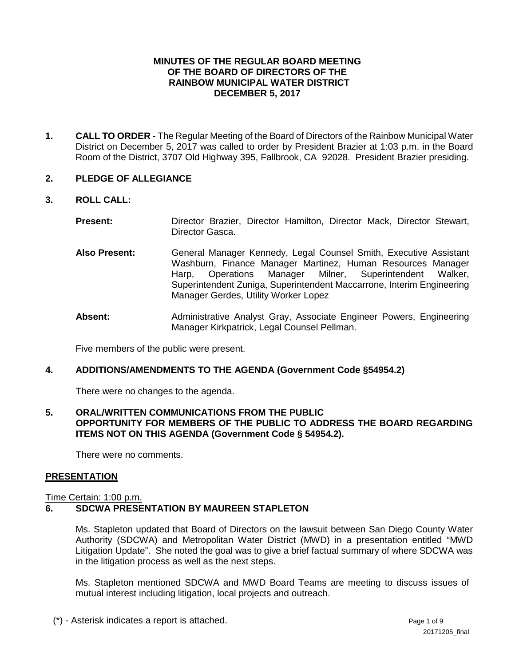## **MINUTES OF THE REGULAR BOARD MEETING OF THE BOARD OF DIRECTORS OF THE RAINBOW MUNICIPAL WATER DISTRICT DECEMBER 5, 2017**

**1. CALL TO ORDER -** The Regular Meeting of the Board of Directors of the Rainbow Municipal Water District on December 5, 2017 was called to order by President Brazier at 1:03 p.m. in the Board Room of the District, 3707 Old Highway 395, Fallbrook, CA 92028. President Brazier presiding.

## **2. PLEDGE OF ALLEGIANCE**

**3. ROLL CALL:** 

| <b>Present:</b> |                 |  |  | Director Brazier, Director Hamilton, Director Mack, Director Stewart, |  |  |
|-----------------|-----------------|--|--|-----------------------------------------------------------------------|--|--|
|                 | Director Gasca. |  |  |                                                                       |  |  |

- **Also Present:** General Manager Kennedy, Legal Counsel Smith, Executive Assistant Washburn, Finance Manager Martinez, Human Resources Manager Harp, Operations Manager Milner, Superintendent Walker, Superintendent Zuniga, Superintendent Maccarrone, Interim Engineering Manager Gerdes, Utility Worker Lopez
- **Absent:** Administrative Analyst Gray, Associate Engineer Powers, Engineering Manager Kirkpatrick, Legal Counsel Pellman.

Five members of the public were present.

## **4. ADDITIONS/AMENDMENTS TO THE AGENDA (Government Code §54954.2)**

There were no changes to the agenda.

## **5. ORAL/WRITTEN COMMUNICATIONS FROM THE PUBLIC OPPORTUNITY FOR MEMBERS OF THE PUBLIC TO ADDRESS THE BOARD REGARDING ITEMS NOT ON THIS AGENDA (Government Code § 54954.2).**

There were no comments.

## **PRESENTATION**

#### Time Certain: 1:00 p.m.

## **6. SDCWA PRESENTATION BY MAUREEN STAPLETON**

Ms. Stapleton updated that Board of Directors on the lawsuit between San Diego County Water Authority (SDCWA) and Metropolitan Water District (MWD) in a presentation entitled "MWD Litigation Update". She noted the goal was to give a brief factual summary of where SDCWA was in the litigation process as well as the next steps.

Ms. Stapleton mentioned SDCWA and MWD Board Teams are meeting to discuss issues of mutual interest including litigation, local projects and outreach.

(\*) - Asterisk indicates a report is attached. Page 1 of 9 and 9 and 9 and 9 and 9 and 9 and 9 and 9 and 9 and 9 and 9 and 9 and 9 and 9 and 9 and 9 and 9 and 9 and 9 and 9 and 9 and 9 and 9 and 9 and 9 and 9 and 9 and 9 a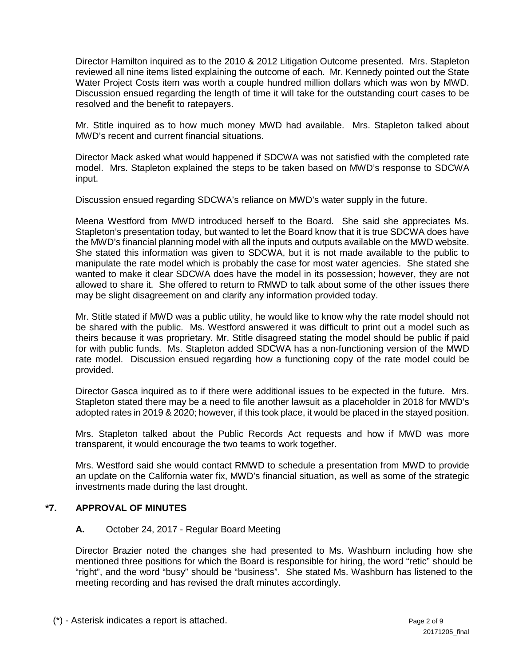Director Hamilton inquired as to the 2010 & 2012 Litigation Outcome presented. Mrs. Stapleton reviewed all nine items listed explaining the outcome of each. Mr. Kennedy pointed out the State Water Project Costs item was worth a couple hundred million dollars which was won by MWD. Discussion ensued regarding the length of time it will take for the outstanding court cases to be resolved and the benefit to ratepayers.

Mr. Stitle inquired as to how much money MWD had available. Mrs. Stapleton talked about MWD's recent and current financial situations.

Director Mack asked what would happened if SDCWA was not satisfied with the completed rate model. Mrs. Stapleton explained the steps to be taken based on MWD's response to SDCWA input.

Discussion ensued regarding SDCWA's reliance on MWD's water supply in the future.

Meena Westford from MWD introduced herself to the Board. She said she appreciates Ms. Stapleton's presentation today, but wanted to let the Board know that it is true SDCWA does have the MWD's financial planning model with all the inputs and outputs available on the MWD website. She stated this information was given to SDCWA, but it is not made available to the public to manipulate the rate model which is probably the case for most water agencies. She stated she wanted to make it clear SDCWA does have the model in its possession; however, they are not allowed to share it. She offered to return to RMWD to talk about some of the other issues there may be slight disagreement on and clarify any information provided today.

Mr. Stitle stated if MWD was a public utility, he would like to know why the rate model should not be shared with the public. Ms. Westford answered it was difficult to print out a model such as theirs because it was proprietary. Mr. Stitle disagreed stating the model should be public if paid for with public funds. Ms. Stapleton added SDCWA has a non-functioning version of the MWD rate model. Discussion ensued regarding how a functioning copy of the rate model could be provided.

Director Gasca inquired as to if there were additional issues to be expected in the future. Mrs. Stapleton stated there may be a need to file another lawsuit as a placeholder in 2018 for MWD's adopted rates in 2019 & 2020; however, if this took place, it would be placed in the stayed position.

Mrs. Stapleton talked about the Public Records Act requests and how if MWD was more transparent, it would encourage the two teams to work together.

Mrs. Westford said she would contact RMWD to schedule a presentation from MWD to provide an update on the California water fix, MWD's financial situation, as well as some of the strategic investments made during the last drought.

## **\*7. APPROVAL OF MINUTES**

## **A.** October 24, 2017 - Regular Board Meeting

Director Brazier noted the changes she had presented to Ms. Washburn including how she mentioned three positions for which the Board is responsible for hiring, the word "retic" should be "right", and the word "busy" should be "business". She stated Ms. Washburn has listened to the meeting recording and has revised the draft minutes accordingly.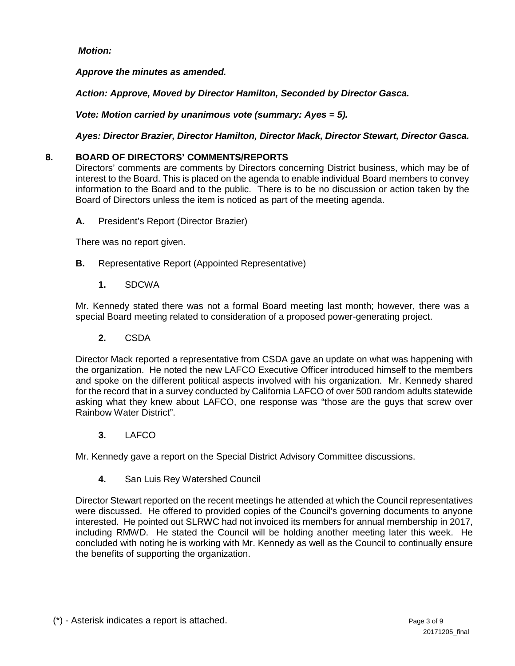# *Motion:*

*Approve the minutes as amended.*

*Action: Approve, Moved by Director Hamilton, Seconded by Director Gasca.*

*Vote: Motion carried by unanimous vote (summary: Ayes = 5).*

*Ayes: Director Brazier, Director Hamilton, Director Mack, Director Stewart, Director Gasca.*

## **8. BOARD OF DIRECTORS' COMMENTS/REPORTS**

Directors' comments are comments by Directors concerning District business, which may be of interest to the Board. This is placed on the agenda to enable individual Board members to convey information to the Board and to the public. There is to be no discussion or action taken by the Board of Directors unless the item is noticed as part of the meeting agenda.

**A.** President's Report (Director Brazier)

There was no report given.

- **B.** Representative Report (Appointed Representative)
	- **1.** SDCWA

Mr. Kennedy stated there was not a formal Board meeting last month; however, there was a special Board meeting related to consideration of a proposed power-generating project.

**2.** CSDA

Director Mack reported a representative from CSDA gave an update on what was happening with the organization. He noted the new LAFCO Executive Officer introduced himself to the members and spoke on the different political aspects involved with his organization. Mr. Kennedy shared for the record that in a survey conducted by California LAFCO of over 500 random adults statewide asking what they knew about LAFCO, one response was "those are the guys that screw over Rainbow Water District".

**3.** LAFCO

Mr. Kennedy gave a report on the Special District Advisory Committee discussions.

**4.** San Luis Rey Watershed Council

Director Stewart reported on the recent meetings he attended at which the Council representatives were discussed. He offered to provided copies of the Council's governing documents to anyone interested. He pointed out SLRWC had not invoiced its members for annual membership in 2017, including RMWD. He stated the Council will be holding another meeting later this week. He concluded with noting he is working with Mr. Kennedy as well as the Council to continually ensure the benefits of supporting the organization.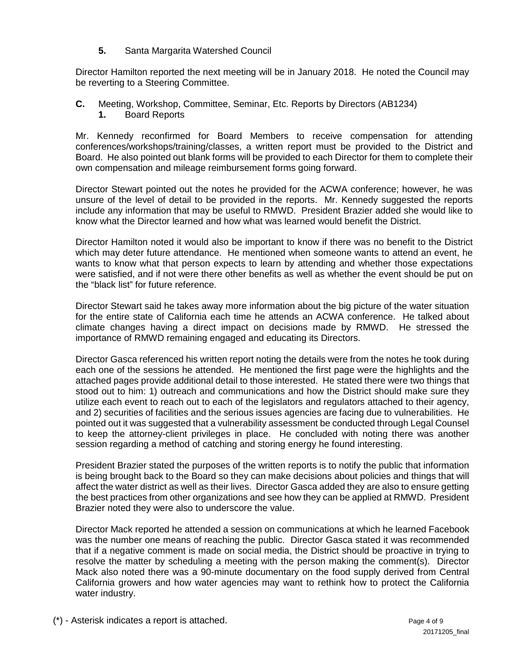**5.** Santa Margarita Watershed Council

Director Hamilton reported the next meeting will be in January 2018. He noted the Council may be reverting to a Steering Committee.

- **C.** Meeting, Workshop, Committee, Seminar, Etc. Reports by Directors (AB1234)
	- **1.** Board Reports

Mr. Kennedy reconfirmed for Board Members to receive compensation for attending conferences/workshops/training/classes, a written report must be provided to the District and Board. He also pointed out blank forms will be provided to each Director for them to complete their own compensation and mileage reimbursement forms going forward.

Director Stewart pointed out the notes he provided for the ACWA conference; however, he was unsure of the level of detail to be provided in the reports. Mr. Kennedy suggested the reports include any information that may be useful to RMWD. President Brazier added she would like to know what the Director learned and how what was learned would benefit the District.

Director Hamilton noted it would also be important to know if there was no benefit to the District which may deter future attendance. He mentioned when someone wants to attend an event, he wants to know what that person expects to learn by attending and whether those expectations were satisfied, and if not were there other benefits as well as whether the event should be put on the "black list" for future reference.

Director Stewart said he takes away more information about the big picture of the water situation for the entire state of California each time he attends an ACWA conference. He talked about climate changes having a direct impact on decisions made by RMWD. He stressed the importance of RMWD remaining engaged and educating its Directors.

Director Gasca referenced his written report noting the details were from the notes he took during each one of the sessions he attended. He mentioned the first page were the highlights and the attached pages provide additional detail to those interested. He stated there were two things that stood out to him: 1) outreach and communications and how the District should make sure they utilize each event to reach out to each of the legislators and regulators attached to their agency, and 2) securities of facilities and the serious issues agencies are facing due to vulnerabilities. He pointed out it was suggested that a vulnerability assessment be conducted through Legal Counsel to keep the attorney-client privileges in place. He concluded with noting there was another session regarding a method of catching and storing energy he found interesting.

President Brazier stated the purposes of the written reports is to notify the public that information is being brought back to the Board so they can make decisions about policies and things that will affect the water district as well as their lives. Director Gasca added they are also to ensure getting the best practices from other organizations and see how they can be applied at RMWD. President Brazier noted they were also to underscore the value.

Director Mack reported he attended a session on communications at which he learned Facebook was the number one means of reaching the public. Director Gasca stated it was recommended that if a negative comment is made on social media, the District should be proactive in trying to resolve the matter by scheduling a meeting with the person making the comment(s). Director Mack also noted there was a 90-minute documentary on the food supply derived from Central California growers and how water agencies may want to rethink how to protect the California water industry.

(\*) - Asterisk indicates a report is attached. Page 4 of 9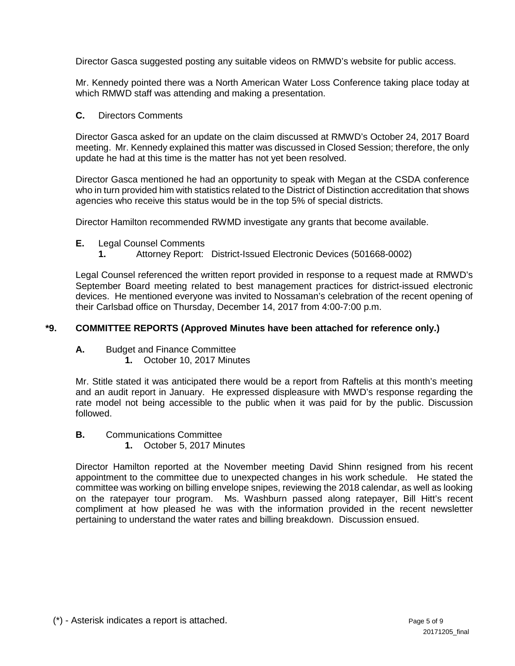Director Gasca suggested posting any suitable videos on RMWD's website for public access.

Mr. Kennedy pointed there was a North American Water Loss Conference taking place today at which RMWD staff was attending and making a presentation.

## **C.** Directors Comments

Director Gasca asked for an update on the claim discussed at RMWD's October 24, 2017 Board meeting. Mr. Kennedy explained this matter was discussed in Closed Session; therefore, the only update he had at this time is the matter has not yet been resolved.

Director Gasca mentioned he had an opportunity to speak with Megan at the CSDA conference who in turn provided him with statistics related to the District of Distinction accreditation that shows agencies who receive this status would be in the top 5% of special districts.

Director Hamilton recommended RWMD investigate any grants that become available.

- **E.** Legal Counsel Comments
	- **1.** Attorney Report: District-Issued Electronic Devices (501668-0002)

Legal Counsel referenced the written report provided in response to a request made at RMWD's September Board meeting related to best management practices for district-issued electronic devices. He mentioned everyone was invited to Nossaman's celebration of the recent opening of their Carlsbad office on Thursday, December 14, 2017 from 4:00-7:00 p.m.

## **\*9. COMMITTEE REPORTS (Approved Minutes have been attached for reference only.)**

**A.** Budget and Finance Committee

**1.** October 10, 2017 Minutes

Mr. Stitle stated it was anticipated there would be a report from Raftelis at this month's meeting and an audit report in January. He expressed displeasure with MWD's response regarding the rate model not being accessible to the public when it was paid for by the public. Discussion followed.

- **B.** Communications Committee
	- **1.** October 5, 2017 Minutes

Director Hamilton reported at the November meeting David Shinn resigned from his recent appointment to the committee due to unexpected changes in his work schedule. He stated the committee was working on billing envelope snipes, reviewing the 2018 calendar, as well as looking on the ratepayer tour program. Ms. Washburn passed along ratepayer, Bill Hitt's recent compliment at how pleased he was with the information provided in the recent newsletter pertaining to understand the water rates and billing breakdown. Discussion ensued.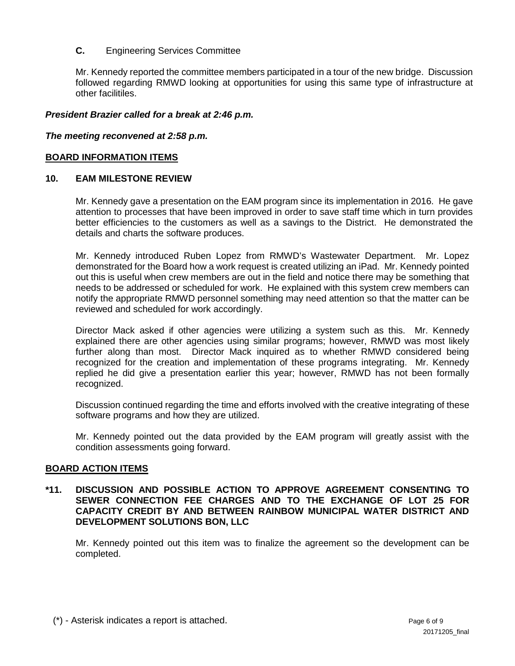# **C.** Engineering Services Committee

Mr. Kennedy reported the committee members participated in a tour of the new bridge. Discussion followed regarding RMWD looking at opportunities for using this same type of infrastructure at other facilitiles.

## *President Brazier called for a break at 2:46 p.m.*

### *The meeting reconvened at 2:58 p.m.*

## **BOARD INFORMATION ITEMS**

## **10. EAM MILESTONE REVIEW**

Mr. Kennedy gave a presentation on the EAM program since its implementation in 2016. He gave attention to processes that have been improved in order to save staff time which in turn provides better efficiencies to the customers as well as a savings to the District. He demonstrated the details and charts the software produces.

Mr. Kennedy introduced Ruben Lopez from RMWD's Wastewater Department. Mr. Lopez demonstrated for the Board how a work request is created utilizing an iPad. Mr. Kennedy pointed out this is useful when crew members are out in the field and notice there may be something that needs to be addressed or scheduled for work. He explained with this system crew members can notify the appropriate RMWD personnel something may need attention so that the matter can be reviewed and scheduled for work accordingly.

Director Mack asked if other agencies were utilizing a system such as this. Mr. Kennedy explained there are other agencies using similar programs; however, RMWD was most likely further along than most. Director Mack inquired as to whether RMWD considered being recognized for the creation and implementation of these programs integrating. Mr. Kennedy replied he did give a presentation earlier this year; however, RMWD has not been formally recognized.

Discussion continued regarding the time and efforts involved with the creative integrating of these software programs and how they are utilized.

Mr. Kennedy pointed out the data provided by the EAM program will greatly assist with the condition assessments going forward.

#### **BOARD ACTION ITEMS**

## **\*11. DISCUSSION AND POSSIBLE ACTION TO APPROVE AGREEMENT CONSENTING TO SEWER CONNECTION FEE CHARGES AND TO THE EXCHANGE OF LOT 25 FOR CAPACITY CREDIT BY AND BETWEEN RAINBOW MUNICIPAL WATER DISTRICT AND DEVELOPMENT SOLUTIONS BON, LLC**

Mr. Kennedy pointed out this item was to finalize the agreement so the development can be completed.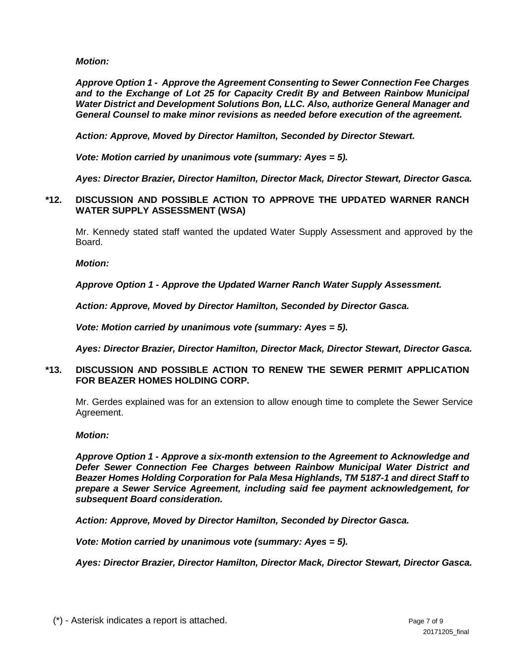*Motion:* 

*Approve Option 1 - Approve the Agreement Consenting to Sewer Connection Fee Charges and to the Exchange of Lot 25 for Capacity Credit By and Between Rainbow Municipal Water District and Development Solutions Bon, LLC. Also, authorize General Manager and General Counsel to make minor revisions as needed before execution of the agreement.*

*Action: Approve, Moved by Director Hamilton, Seconded by Director Stewart.*

*Vote: Motion carried by unanimous vote (summary: Ayes = 5).*

*Ayes: Director Brazier, Director Hamilton, Director Mack, Director Stewart, Director Gasca.*

# **\*12. DISCUSSION AND POSSIBLE ACTION TO APPROVE THE UPDATED WARNER RANCH WATER SUPPLY ASSESSMENT (WSA)**

Mr. Kennedy stated staff wanted the updated Water Supply Assessment and approved by the Board.

*Motion:* 

*Approve Option 1 - Approve the Updated Warner Ranch Water Supply Assessment.*

*Action: Approve, Moved by Director Hamilton, Seconded by Director Gasca.*

*Vote: Motion carried by unanimous vote (summary: Ayes = 5).*

*Ayes: Director Brazier, Director Hamilton, Director Mack, Director Stewart, Director Gasca.*

# **\*13. DISCUSSION AND POSSIBLE ACTION TO RENEW THE SEWER PERMIT APPLICATION FOR BEAZER HOMES HOLDING CORP.**

Mr. Gerdes explained was for an extension to allow enough time to complete the Sewer Service Agreement.

# *Motion:*

*Approve Option 1 - Approve a six-month extension to the Agreement to Acknowledge and Defer Sewer Connection Fee Charges between Rainbow Municipal Water District and Beazer Homes Holding Corporation for Pala Mesa Highlands, TM 5187-1 and direct Staff to prepare a Sewer Service Agreement, including said fee payment acknowledgement, for subsequent Board consideration.*

*Action: Approve, Moved by Director Hamilton, Seconded by Director Gasca.*

*Vote: Motion carried by unanimous vote (summary: Ayes = 5).*

*Ayes: Director Brazier, Director Hamilton, Director Mack, Director Stewart, Director Gasca.*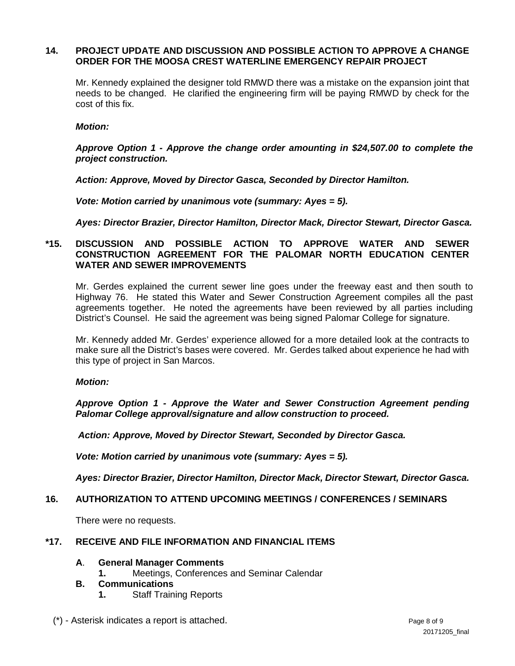## **14. PROJECT UPDATE AND DISCUSSION AND POSSIBLE ACTION TO APPROVE A CHANGE ORDER FOR THE MOOSA CREST WATERLINE EMERGENCY REPAIR PROJECT**

Mr. Kennedy explained the designer told RMWD there was a mistake on the expansion joint that needs to be changed. He clarified the engineering firm will be paying RMWD by check for the cost of this fix.

#### *Motion:*

*Approve Option 1 - Approve the change order amounting in \$24,507.00 to complete the project construction.*

*Action: Approve, Moved by Director Gasca, Seconded by Director Hamilton.*

*Vote: Motion carried by unanimous vote (summary: Ayes = 5).*

*Ayes: Director Brazier, Director Hamilton, Director Mack, Director Stewart, Director Gasca.*

## **\*15. DISCUSSION AND POSSIBLE ACTION TO APPROVE WATER AND SEWER CONSTRUCTION AGREEMENT FOR THE PALOMAR NORTH EDUCATION CENTER WATER AND SEWER IMPROVEMENTS**

Mr. Gerdes explained the current sewer line goes under the freeway east and then south to Highway 76. He stated this Water and Sewer Construction Agreement compiles all the past agreements together. He noted the agreements have been reviewed by all parties including District's Counsel. He said the agreement was being signed Palomar College for signature.

Mr. Kennedy added Mr. Gerdes' experience allowed for a more detailed look at the contracts to make sure all the District's bases were covered. Mr. Gerdes talked about experience he had with this type of project in San Marcos.

#### *Motion:*

*Approve Option 1 - Approve the Water and Sewer Construction Agreement pending Palomar College approval/signature and allow construction to proceed.*

*Action: Approve, Moved by Director Stewart, Seconded by Director Gasca.*

*Vote: Motion carried by unanimous vote (summary: Ayes = 5).*

*Ayes: Director Brazier, Director Hamilton, Director Mack, Director Stewart, Director Gasca.*

#### **16. AUTHORIZATION TO ATTEND UPCOMING MEETINGS / CONFERENCES / SEMINARS**

There were no requests.

### **\*17. RECEIVE AND FILE INFORMATION AND FINANCIAL ITEMS**

#### **A**. **General Manager Comments**

**1.** Meetings, Conferences and Seminar Calendar

## **B. Communications**

**1.** Staff Training Reports

(\*) - Asterisk indicates a report is attached. Page 8 of 9